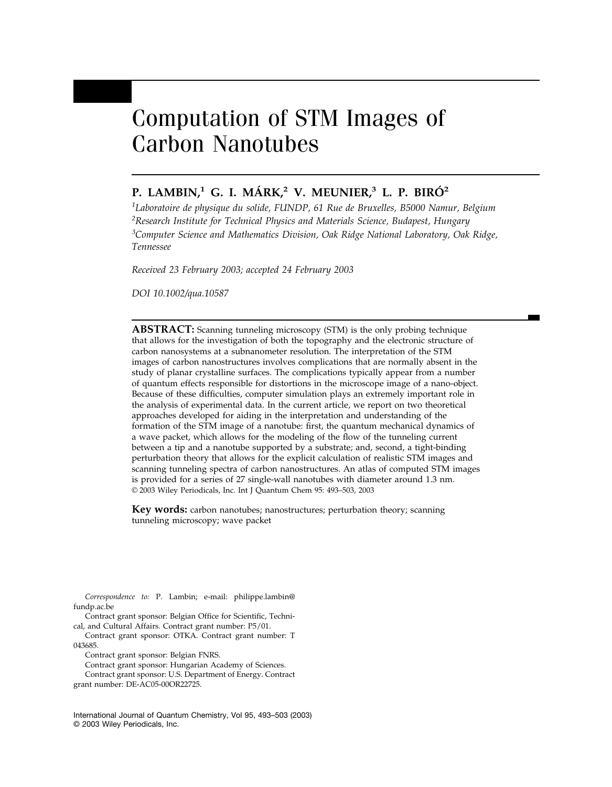# Computation of STM Images of Carbon Nanotubes

# **P. LAMBIN,<sup>1</sup> G. I. MA´ RK,2 V. MEUNIER,<sup>3</sup> L. P. BIRO´ <sup>2</sup>**

 *Laboratoire de physique du solide, FUNDP, 61 Rue de Bruxelles, B5000 Namur, Belgium Research Institute for Technical Physics and Materials Science, Budapest, Hungary Computer Science and Mathematics Division, Oak Ridge National Laboratory, Oak Ridge, Tennessee*

*Received 23 February 2003; accepted 24 February 2003*

*DOI 10.1002/qua.10587*

**ABSTRACT:** Scanning tunneling microscopy (STM) is the only probing technique that allows for the investigation of both the topography and the electronic structure of carbon nanosystems at a subnanometer resolution. The interpretation of the STM images of carbon nanostructures involves complications that are normally absent in the study of planar crystalline surfaces. The complications typically appear from a number of quantum effects responsible for distortions in the microscope image of a nano-object. Because of these difficulties, computer simulation plays an extremely important role in the analysis of experimental data. In the current article, we report on two theoretical approaches developed for aiding in the interpretation and understanding of the formation of the STM image of a nanotube: first, the quantum mechanical dynamics of a wave packet, which allows for the modeling of the flow of the tunneling current between a tip and a nanotube supported by a substrate; and, second, a tight-binding perturbation theory that allows for the explicit calculation of realistic STM images and scanning tunneling spectra of carbon nanostructures. An atlas of computed STM images is provided for a series of 27 single-wall nanotubes with diameter around 1.3 nm. © 2003 Wiley Periodicals, Inc. Int J Quantum Chem 95: 493–503, 2003

**Key words:** carbon nanotubes; nanostructures; perturbation theory; scanning tunneling microscopy; wave packet

*Correspondence to:* P. Lambin; e-mail: philippe.lambin@ fundp.ac.be

Contract grant sponsor: Belgian Office for Scientific, Technical, and Cultural Affairs. Contract grant number: P5/01.

Contract grant sponsor: OTKA. Contract grant number: T 043685.

Contract grant sponsor: Belgian FNRS.

Contract grant sponsor: Hungarian Academy of Sciences.

Contract grant sponsor: U.S. Department of Energy. Contract grant number: DE-AC05-00OR22725.

International Journal of Quantum Chemistry, Vol 95, 493–503 (2003) © 2003 Wiley Periodicals, Inc.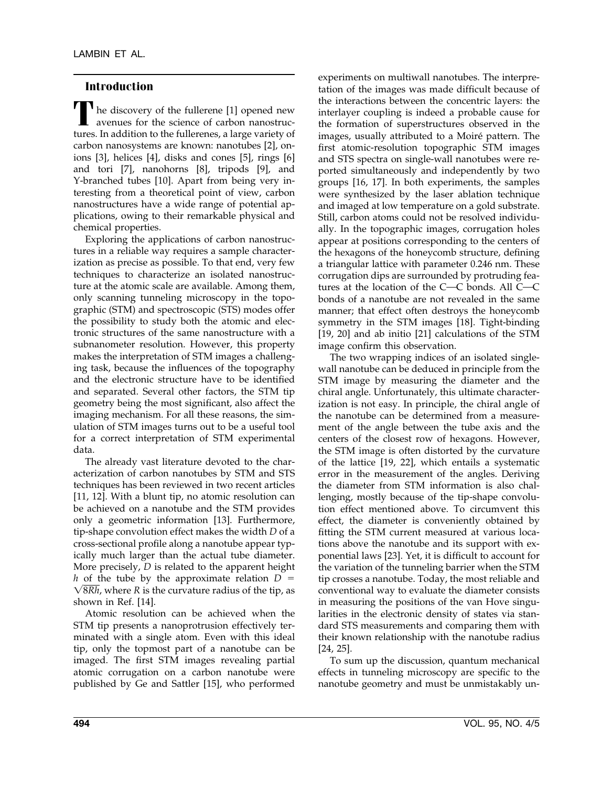# **Introduction**

**T** he discovery of the fullerene [1] opened new avenues for the science of carbon nanostructures. In addition to the fullerenes, a large variety of carbon nanosystems are known: nanotubes [2], onions [3], helices [4], disks and cones [5], rings [6] and tori [7], nanohorns [8], tripods [9], and Y-branched tubes [10]. Apart from being very interesting from a theoretical point of view, carbon nanostructures have a wide range of potential applications, owing to their remarkable physical and chemical properties.

Exploring the applications of carbon nanostructures in a reliable way requires a sample characterization as precise as possible. To that end, very few techniques to characterize an isolated nanostructure at the atomic scale are available. Among them, only scanning tunneling microscopy in the topographic (STM) and spectroscopic (STS) modes offer the possibility to study both the atomic and electronic structures of the same nanostructure with a subnanometer resolution. However, this property makes the interpretation of STM images a challenging task, because the influences of the topography and the electronic structure have to be identified and separated. Several other factors, the STM tip geometry being the most significant, also affect the imaging mechanism. For all these reasons, the simulation of STM images turns out to be a useful tool for a correct interpretation of STM experimental data.

The already vast literature devoted to the characterization of carbon nanotubes by STM and STS techniques has been reviewed in two recent articles [11, 12]. With a blunt tip, no atomic resolution can be achieved on a nanotube and the STM provides only a geometric information [13]. Furthermore, tip-shape convolution effect makes the width *D* of a cross-sectional profile along a nanotube appear typically much larger than the actual tube diameter. More precisely, *D* is related to the apparent height *h* of the tube by the approximate relation  $D =$  $\sqrt{8Rh}$ , where *R* is the curvature radius of the tip, as shown in Ref. [14].

Atomic resolution can be achieved when the STM tip presents a nanoprotrusion effectively terminated with a single atom. Even with this ideal tip, only the topmost part of a nanotube can be imaged. The first STM images revealing partial atomic corrugation on a carbon nanotube were published by Ge and Sattler [15], who performed

experiments on multiwall nanotubes. The interpretation of the images was made difficult because of the interactions between the concentric layers: the interlayer coupling is indeed a probable cause for the formation of superstructures observed in the images, usually attributed to a Moiré pattern. The first atomic-resolution topographic STM images and STS spectra on single-wall nanotubes were reported simultaneously and independently by two groups [16, 17]. In both experiments, the samples were synthesized by the laser ablation technique and imaged at low temperature on a gold substrate. Still, carbon atoms could not be resolved individually. In the topographic images, corrugation holes appear at positions corresponding to the centers of the hexagons of the honeycomb structure, defining a triangular lattice with parameter 0.246 nm. These corrugation dips are surrounded by protruding features at the location of the  $C-C$  bonds. All  $C-C$ bonds of a nanotube are not revealed in the same manner; that effect often destroys the honeycomb symmetry in the STM images [18]. Tight-binding [19, 20] and ab initio [21] calculations of the STM image confirm this observation.

The two wrapping indices of an isolated singlewall nanotube can be deduced in principle from the STM image by measuring the diameter and the chiral angle. Unfortunately, this ultimate characterization is not easy. In principle, the chiral angle of the nanotube can be determined from a measurement of the angle between the tube axis and the centers of the closest row of hexagons. However, the STM image is often distorted by the curvature of the lattice [19, 22], which entails a systematic error in the measurement of the angles. Deriving the diameter from STM information is also challenging, mostly because of the tip-shape convolution effect mentioned above. To circumvent this effect, the diameter is conveniently obtained by fitting the STM current measured at various locations above the nanotube and its support with exponential laws [23]. Yet, it is difficult to account for the variation of the tunneling barrier when the STM tip crosses a nanotube. Today, the most reliable and conventional way to evaluate the diameter consists in measuring the positions of the van Hove singularities in the electronic density of states via standard STS measurements and comparing them with their known relationship with the nanotube radius [24, 25].

To sum up the discussion, quantum mechanical effects in tunneling microscopy are specific to the nanotube geometry and must be unmistakably un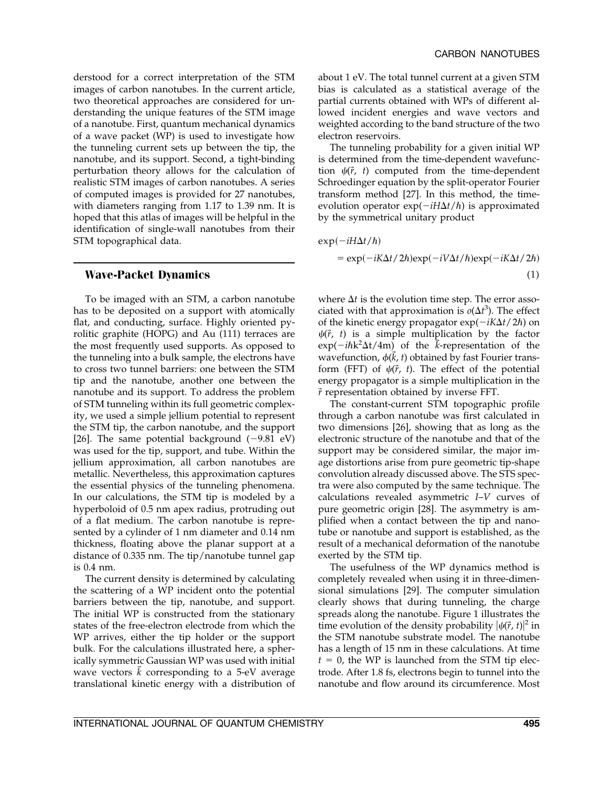derstood for a correct interpretation of the STM images of carbon nanotubes. In the current article, two theoretical approaches are considered for understanding the unique features of the STM image of a nanotube. First, quantum mechanical dynamics of a wave packet (WP) is used to investigate how the tunneling current sets up between the tip, the nanotube, and its support. Second, a tight-binding perturbation theory allows for the calculation of realistic STM images of carbon nanotubes. A series of computed images is provided for 27 nanotubes, with diameters ranging from 1.17 to 1.39 nm. It is hoped that this atlas of images will be helpful in the identification of single-wall nanotubes from their STM topographical data.

### **Wave-Packet Dynamics**

To be imaged with an STM, a carbon nanotube has to be deposited on a support with atomically flat, and conducting, surface. Highly oriented pyrolitic graphite (HOPG) and Au (111) terraces are the most frequently used supports. As opposed to the tunneling into a bulk sample, the electrons have to cross two tunnel barriers: one between the STM tip and the nanotube, another one between the nanotube and its support. To address the problem of STM tunneling within its full geometric complexity, we used a simple jellium potential to represent the STM tip, the carbon nanotube, and the support [26]. The same potential background  $(-9.81 \text{ eV})$ was used for the tip, support, and tube. Within the jellium approximation, all carbon nanotubes are metallic. Nevertheless, this approximation captures the essential physics of the tunneling phenomena. In our calculations, the STM tip is modeled by a hyperboloid of 0.5 nm apex radius, protruding out of a flat medium. The carbon nanotube is represented by a cylinder of 1 nm diameter and 0.14 nm thickness, floating above the planar support at a distance of 0.335 nm. The tip/nanotube tunnel gap is 0.4 nm.

The current density is determined by calculating the scattering of a WP incident onto the potential barriers between the tip, nanotube, and support. The initial WP is constructed from the stationary states of the free-electron electrode from which the WP arrives, either the tip holder or the support bulk. For the calculations illustrated here, a spherically symmetric Gaussian WP was used with initial wave vectors *k* corresponding to a 5-eV average translational kinetic energy with a distribution of about 1 eV. The total tunnel current at a given STM bias is calculated as a statistical average of the partial currents obtained with WPs of different allowed incident energies and wave vectors and weighted according to the band structure of the two electron reservoirs.

The tunneling probability for a given initial WP is determined from the time-dependent wavefunction  $\psi(\vec{r}, t)$  computed from the time-dependent Schroedinger equation by the split-operator Fourier transform method [27]. In this method, the timeevolution operator  $exp(-iH\Delta t/\hbar)$  is approximated by the symmetrical unitary product

$$
\exp(-iH\Delta t/\hbar) = \exp(-iK\Delta t/2\hbar)\exp(-iV\Delta t/\hbar)\exp(-iK\Delta t/2\hbar)
$$
\n(1)

where  $\Delta t$  is the evolution time step. The error associated with that approximation is  $o(\Delta t^3)$ . The effect of the kinetic energy propagator  $exp(-iK\Delta t/2\hbar)$  on  $\psi(\vec{r}, t)$  is a simple multiplication by the factor  $\exp(-i\hbar k^2 \Delta t/4m)$  of the  $\vec{k}$ -representation of the wavefunction,  $\phi(k, t)$  obtained by fast Fourier transform (FFT) of  $\psi(\vec{r}, t)$ . The effect of the potential energy propagator is a simple multiplication in the  $\vec{r}$  representation obtained by inverse FFT.

The constant-current STM topographic profile through a carbon nanotube was first calculated in two dimensions [26], showing that as long as the electronic structure of the nanotube and that of the support may be considered similar, the major image distortions arise from pure geometric tip-shape convolution already discussed above. The STS spectra were also computed by the same technique. The calculations revealed asymmetric *I*–*V* curves of pure geometric origin [28]. The asymmetry is amplified when a contact between the tip and nanotube or nanotube and support is established, as the result of a mechanical deformation of the nanotube exerted by the STM tip.

The usefulness of the WP dynamics method is completely revealed when using it in three-dimensional simulations [29]. The computer simulation clearly shows that during tunneling, the charge spreads along the nanotube. Figure 1 illustrates the time evolution of the density probability  $|\psi(\vec{r}, t)|^2$  in the STM nanotube substrate model. The nanotube has a length of 15 nm in these calculations. At time  $t = 0$ , the WP is launched from the STM tip electrode. After 1.8 fs, electrons begin to tunnel into the nanotube and flow around its circumference. Most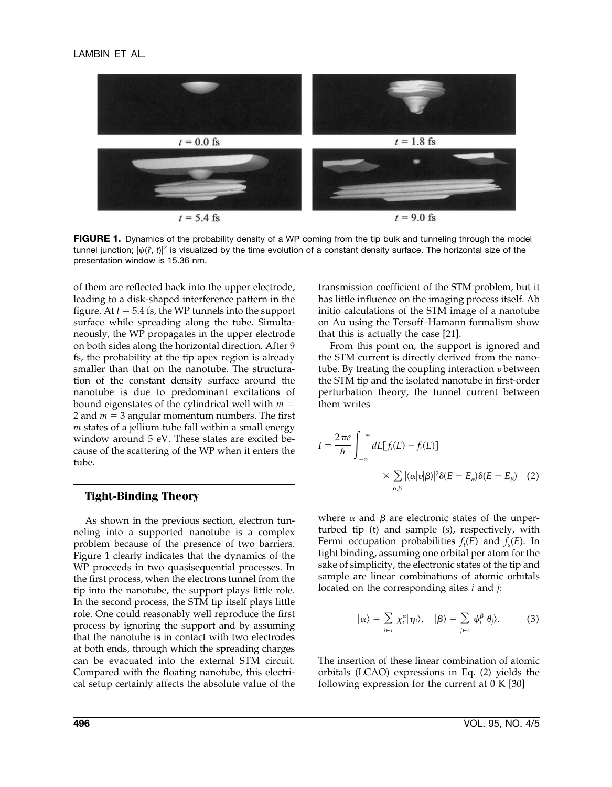

**FIGURE 1.** Dynamics of the probability density of a WP coming from the tip bulk and tunneling through the model tunnel junction;  $|\psi(\vec{r},t)|^2$  is visualized by the time evolution of a constant density surface. The horizontal size of the presentation window is 15.36 nm.

of them are reflected back into the upper electrode, leading to a disk-shaped interference pattern in the figure. At  $t = 5.4$  fs, the WP tunnels into the support surface while spreading along the tube. Simultaneously, the WP propagates in the upper electrode on both sides along the horizontal direction. After 9 fs, the probability at the tip apex region is already smaller than that on the nanotube. The structuration of the constant density surface around the nanotube is due to predominant excitations of bound eigenstates of the cylindrical well with *m* 2 and  $m = 3$  angular momentum numbers. The first *m* states of a jellium tube fall within a small energy window around 5 eV. These states are excited because of the scattering of the WP when it enters the tube.

## **Tight-Binding Theory**

As shown in the previous section, electron tunneling into a supported nanotube is a complex problem because of the presence of two barriers. Figure 1 clearly indicates that the dynamics of the WP proceeds in two quasisequential processes. In the first process, when the electrons tunnel from the tip into the nanotube, the support plays little role. In the second process, the STM tip itself plays little role. One could reasonably well reproduce the first process by ignoring the support and by assuming that the nanotube is in contact with two electrodes at both ends, through which the spreading charges can be evacuated into the external STM circuit. Compared with the floating nanotube, this electrical setup certainly affects the absolute value of the

transmission coefficient of the STM problem, but it has little influence on the imaging process itself. Ab initio calculations of the STM image of a nanotube on Au using the Tersoff–Hamann formalism show that this is actually the case [21].

From this point on, the support is ignored and the STM current is directly derived from the nanotube. By treating the coupling interaction  $v$  between the STM tip and the isolated nanotube in first-order perturbation theory, the tunnel current between them writes

$$
I = \frac{2\pi e}{\hbar} \int_{-\infty}^{+\infty} dE[f_t(E) - f_s(E)]
$$
  
 
$$
\times \sum_{\alpha,\beta} |\langle \alpha | \nu | \beta \rangle|^2 \delta(E - E_{\alpha}) \delta(E - E_{\beta}) \quad (2)
$$

where  $\alpha$  and  $\beta$  are electronic states of the unperturbed tip (t) and sample (s), respectively, with Fermi occupation probabilities  $f_t(E)$  and  $f_s(E)$ . In tight binding, assuming one orbital per atom for the sake of simplicity, the electronic states of the tip and sample are linear combinations of atomic orbitals located on the corresponding sites *i* and *j*:

$$
|\alpha\rangle = \sum_{i\in I} \chi_i^{\alpha} |\eta_i\rangle, \quad |\beta\rangle = \sum_{j\in s} \psi_j^{\beta} |\theta_j\rangle. \tag{3}
$$

The insertion of these linear combination of atomic orbitals (LCAO) expressions in Eq. (2) yields the following expression for the current at 0 K [30]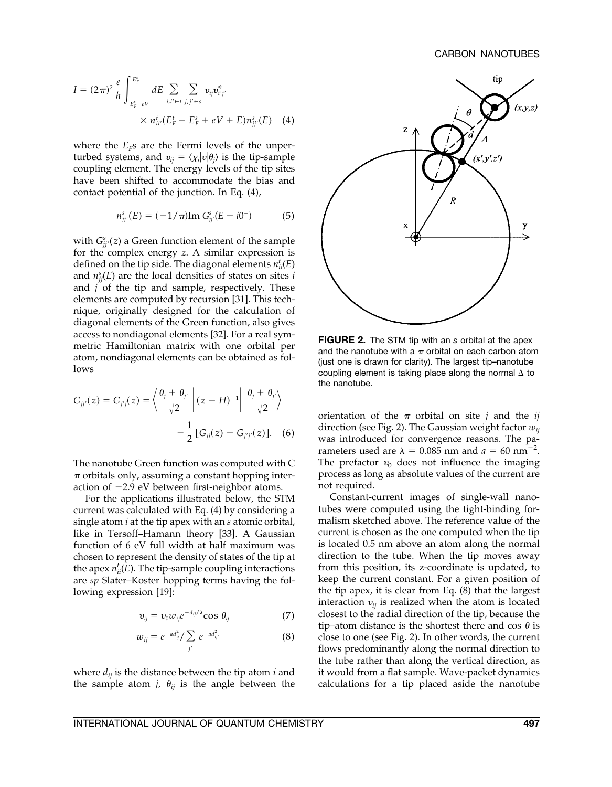$$
I = (2\pi)^2 \frac{e}{h} \int_{E_F^s - eV}^{E_F^s} dE \sum_{i,i' \in I} \sum_{j,j' \in s} \nu_{ij} \nu_{i'j'}^*
$$
  
 
$$
\times n_{ii'}^t (E_F^t - E_F^s + eV + E) n_{jj'}^s (E) \quad (4)
$$

where the  $E<sub>F</sub>$ s are the Fermi levels of the unperturbed systems, and  $v_{ij} = \langle \chi_i | v | \theta_j \rangle$  is the tip-sample coupling element. The energy levels of the tip sites have been shifted to accommodate the bias and contact potential of the junction. In Eq. (4),

$$
n_{jj'}^{s}(E) = (-1/\pi)\mathrm{Im} \ G_{jj'}^{s}(E + i0^{+})
$$
 (5)

with  $G_{jj'}^s(z)$  a Green function element of the sample for the complex energy *z*. A similar expression is defined on the tip side. The diagonal elements *nii t* (*E*) and  $n_{jj}^s(E)$  are the local densities of states on sites *i* and  $j$  of the tip and sample, respectively. These elements are computed by recursion [31]. This technique, originally designed for the calculation of diagonal elements of the Green function, also gives access to nondiagonal elements [32]. For a real symmetric Hamiltonian matrix with one orbital per atom, nondiagonal elements can be obtained as follows

$$
G_{jj'}(z) = G_{j'j}(z) = \left\langle \frac{\theta_j + \theta_{j'}}{\sqrt{2}} \right| (z - H)^{-1} \left| \frac{\theta_j + \theta_{j'}}{\sqrt{2}} \right\rangle
$$

$$
- \frac{1}{2} [G_{jj}(z) + G_{j'j'}(z)]. \quad (6)
$$

The nanotube Green function was computed with C  $\pi$  orbitals only, assuming a constant hopping interaction of  $-2.9$  eV between first-neighbor atoms.

For the applications illustrated below, the STM current was calculated with Eq. (4) by considering a single atom *i* at the tip apex with an *s* atomic orbital, like in Tersoff–Hamann theory [33]. A Gaussian function of 6 eV full width at half maximum was chosen to represent the density of states of the tip at the apex  $n_{ii}^t(\bar{E})$ . The tip-sample coupling interactions are *sp* Slater–Koster hopping terms having the following expression [19]:

$$
v_{ij} = v_0 w_{ij} e^{-d_{ij}/\lambda} \cos \theta_{ij} \tag{7}
$$

$$
w_{ij} = e^{-ad_{ij}^2} / \sum_{j'} e^{-ad_{ij'}^2}
$$
 (8)

where  $d_{ij}$  is the distance between the tip atom  $i$  and the sample atom *j*,  $\theta_{ij}$  is the angle between the



**FIGURE 2.** The STM tip with an *s* orbital at the apex and the nanotube with a  $\pi$  orbital on each carbon atom (just one is drawn for clarity). The largest tip–nanotube coupling element is taking place along the normal  $\Delta$  to the nanotube.

orientation of the  $\pi$  orbital on site *j* and the *ij* direction (see Fig. 2). The Gaussian weight factor *wij* was introduced for convergence reasons. The parameters used are  $\lambda = 0.085$  nm and  $a = 60$  nm<sup>-2</sup>. The prefactor  $v_0$  does not influence the imaging process as long as absolute values of the current are not required.

Constant-current images of single-wall nanotubes were computed using the tight-binding formalism sketched above. The reference value of the current is chosen as the one computed when the tip is located 0.5 nm above an atom along the normal direction to the tube. When the tip moves away from this position, its z-coordinate is updated, to keep the current constant. For a given position of the tip apex, it is clear from Eq. (8) that the largest interaction  $v_{ij}$  is realized when the atom is located closest to the radial direction of the tip, because the tip–atom distance is the shortest there and cos  $\theta$  is close to one (see Fig. 2). In other words, the current flows predominantly along the normal direction to the tube rather than along the vertical direction, as it would from a flat sample. Wave-packet dynamics calculations for a tip placed aside the nanotube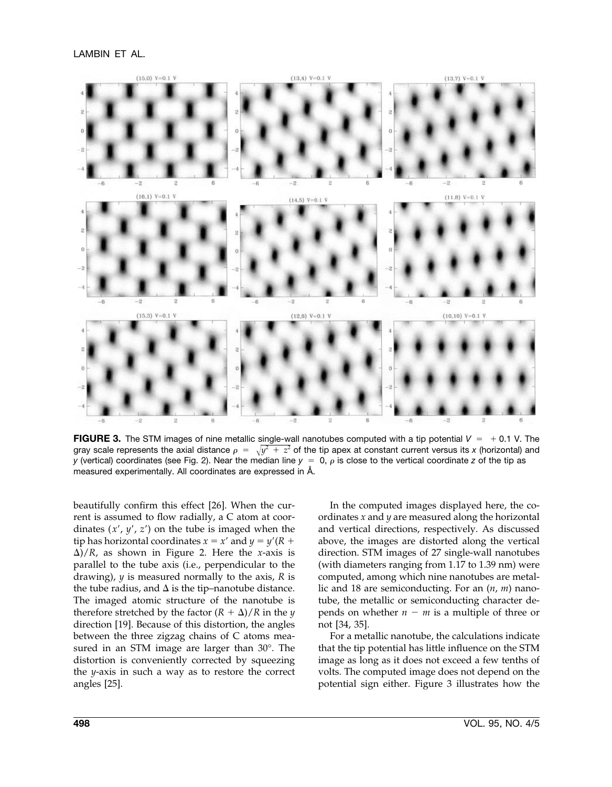

**FIGURE 3.** The STM images of nine metallic single-wall nanotubes computed with a tip potential  $V = +0.1$  V. The gray scale represents the axial distance  $\rho = \sqrt{y^2 + z^2}$  of the tip apex at constant current versus its *x* (horizontal) and *y* (vertical) coordinates (see Fig. 2). Near the median line  $y = 0$ ,  $\rho$  is close to the vertical coordinate *z* of the tip as measured experimentally. All coordinates are expressed in Å.

beautifully confirm this effect [26]. When the current is assumed to flow radially, a C atom at coordinates  $(x', y', z')$  on the tube is imaged when the tip has horizontal coordinates  $x = x'$  and  $y = y'(R +$  $\Delta$ / $R$ , as shown in Figure 2. Here the *x*-axis is parallel to the tube axis (i.e., perpendicular to the drawing), *y* is measured normally to the axis, *R* is the tube radius, and  $\Delta$  is the tip–nanotube distance. The imaged atomic structure of the nanotube is therefore stretched by the factor  $(R + \Delta)/R$  in the *y* direction [19]. Because of this distortion, the angles between the three zigzag chains of C atoms measured in an STM image are larger than 30°. The distortion is conveniently corrected by squeezing the *y*-axis in such a way as to restore the correct angles [25].

In the computed images displayed here, the coordinates *x* and *y* are measured along the horizontal and vertical directions, respectively. As discussed above, the images are distorted along the vertical direction. STM images of 27 single-wall nanotubes (with diameters ranging from 1.17 to 1.39 nm) were computed, among which nine nanotubes are metallic and 18 are semiconducting. For an (*n*, *m*) nanotube, the metallic or semiconducting character depends on whether  $n - m$  is a multiple of three or not [34, 35].

For a metallic nanotube, the calculations indicate that the tip potential has little influence on the STM image as long as it does not exceed a few tenths of volts. The computed image does not depend on the potential sign either. Figure 3 illustrates how the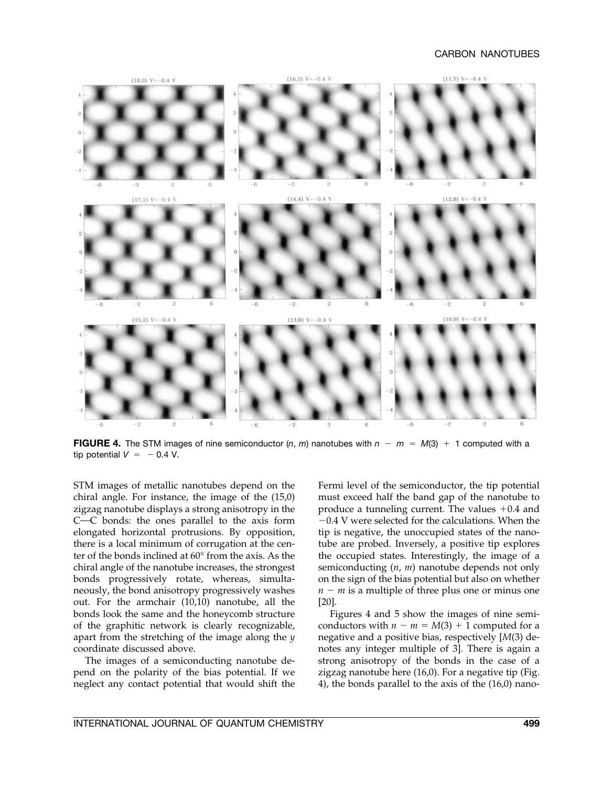#### CARBON NANOTUBES



**FIGURE 4.** The STM images of nine semiconductor  $(n, m)$  nanotubes with  $n - m = M(3) + 1$  computed with a tip potential  $V = -0.4$  V.

STM images of metallic nanotubes depend on the chiral angle. For instance, the image of the (15,0) zigzag nanotube displays a strong anisotropy in the  $C-C$  bonds: the ones parallel to the axis form elongated horizontal protrusions. By opposition, there is a local minimum of corrugation at the center of the bonds inclined at 60° from the axis. As the chiral angle of the nanotube increases, the strongest bonds progressively rotate, whereas, simultaneously, the bond anisotropy progressively washes out. For the armchair (10,10) nanotube, all the bonds look the same and the honeycomb structure of the graphitic network is clearly recognizable, apart from the stretching of the image along the *y* coordinate discussed above.

The images of a semiconducting nanotube depend on the polarity of the bias potential. If we neglect any contact potential that would shift the

Fermi level of the semiconductor, the tip potential must exceed half the band gap of the nanotube to produce a tunneling current. The values  $+0.4$  and  $-0.4$  V were selected for the calculations. When the tip is negative, the unoccupied states of the nanotube are probed. Inversely, a positive tip explores the occupied states. Interestingly, the image of a semiconducting (*n*, *m*) nanotube depends not only on the sign of the bias potential but also on whether  $n - m$  is a multiple of three plus one or minus one [20].

Figures 4 and 5 show the images of nine semiconductors with  $n - m = M(3) + 1$  computed for a negative and a positive bias, respectively [*M*(3) denotes any integer multiple of 3]. There is again a strong anisotropy of the bonds in the case of a zigzag nanotube here (16,0). For a negative tip (Fig. 4), the bonds parallel to the axis of the (16,0) nano-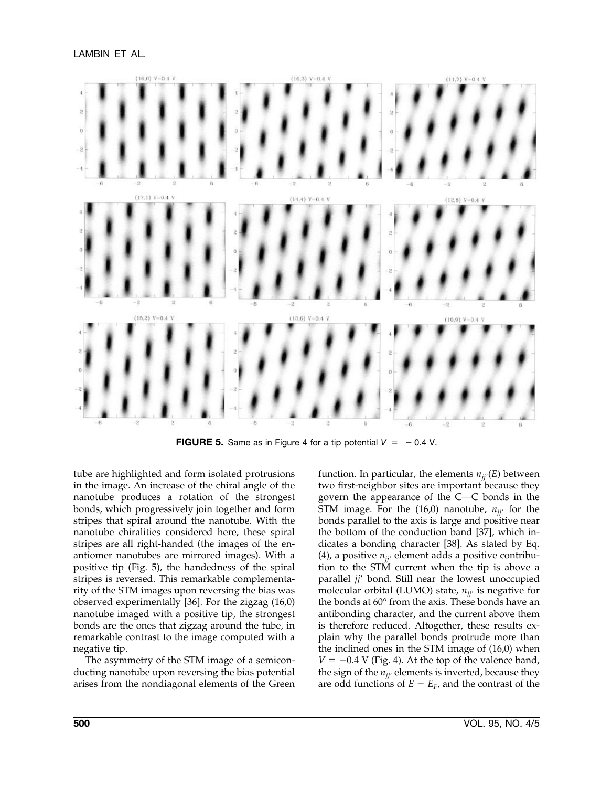

**FIGURE 5.** Same as in Figure 4 for a tip potential  $V = +0.4$  V.

tube are highlighted and form isolated protrusions in the image. An increase of the chiral angle of the nanotube produces a rotation of the strongest bonds, which progressively join together and form stripes that spiral around the nanotube. With the nanotube chiralities considered here, these spiral stripes are all right-handed (the images of the enantiomer nanotubes are mirrored images). With a positive tip (Fig. 5), the handedness of the spiral stripes is reversed. This remarkable complementarity of the STM images upon reversing the bias was observed experimentally [36]. For the zigzag (16,0) nanotube imaged with a positive tip, the strongest bonds are the ones that zigzag around the tube, in remarkable contrast to the image computed with a negative tip.

The asymmetry of the STM image of a semiconducting nanotube upon reversing the bias potential arises from the nondiagonal elements of the Green

function. In particular, the elements *njj* (*E*) between two first-neighbor sites are important because they govern the appearance of the C-C bonds in the STM image. For the  $(16,0)$  nanotube,  $n_{ii'}$  for the bonds parallel to the axis is large and positive near the bottom of the conduction band [37], which indicates a bonding character [38]. As stated by Eq. (4), a positive  $n_{ii'}$  element adds a positive contribution to the STM current when the tip is above a parallel *jj'* bond. Still near the lowest unoccupied molecular orbital (LUMO) state,  $n_{ii'}$  is negative for the bonds at 60° from the axis. These bonds have an antibonding character, and the current above them is therefore reduced. Altogether, these results explain why the parallel bonds protrude more than the inclined ones in the STM image of (16,0) when  $V = -0.4$  V (Fig. 4). At the top of the valence band, the sign of the  $n_{ii'}$  elements is inverted, because they are odd functions of  $E - E_F$ , and the contrast of the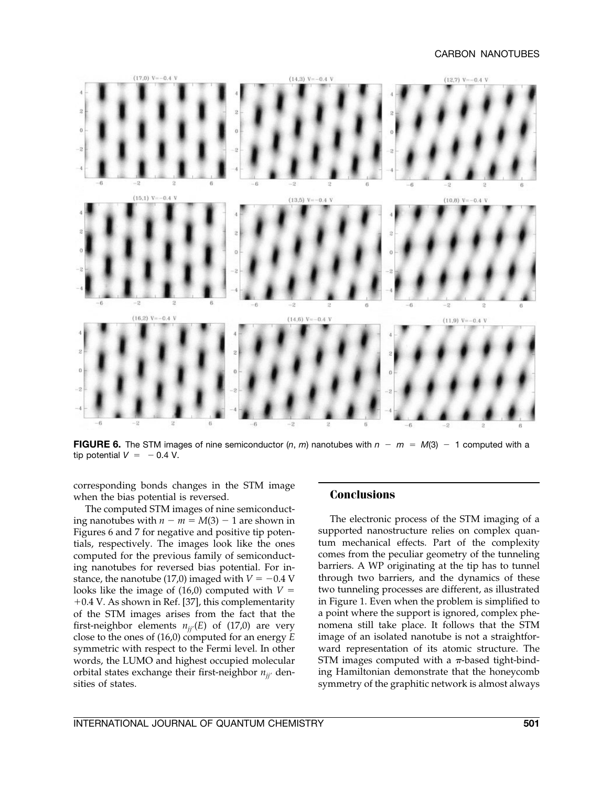#### CARBON NANOTUBES



**FIGURE 6.** The STM images of nine semiconductor  $(n, m)$  nanotubes with  $n - m = M(3) - 1$  computed with a tip potential  $V = -0.4$  V.

corresponding bonds changes in the STM image when the bias potential is reversed.

The computed STM images of nine semiconducting nanotubes with  $n - m = M(3) - 1$  are shown in Figures 6 and 7 for negative and positive tip potentials, respectively. The images look like the ones computed for the previous family of semiconducting nanotubes for reversed bias potential. For instance, the nanotube  $(17,0)$  imaged with  $V = -0.4$  V looks like the image of  $(16,0)$  computed with  $V =$ 0.4 V. As shown in Ref. [37], this complementarity of the STM images arises from the fact that the first-neighbor elements *njj* (*E*) of (17,0) are very close to the ones of (16,0) computed for an energy *E* symmetric with respect to the Fermi level. In other words, the LUMO and highest occupied molecular orbital states exchange their first-neighbor  $n_{ii'}$  densities of states.

## **Conclusions**

The electronic process of the STM imaging of a supported nanostructure relies on complex quantum mechanical effects. Part of the complexity comes from the peculiar geometry of the tunneling barriers. A WP originating at the tip has to tunnel through two barriers, and the dynamics of these two tunneling processes are different, as illustrated in Figure 1. Even when the problem is simplified to a point where the support is ignored, complex phenomena still take place. It follows that the STM image of an isolated nanotube is not a straightforward representation of its atomic structure. The STM images computed with a  $\pi$ -based tight-binding Hamiltonian demonstrate that the honeycomb symmetry of the graphitic network is almost always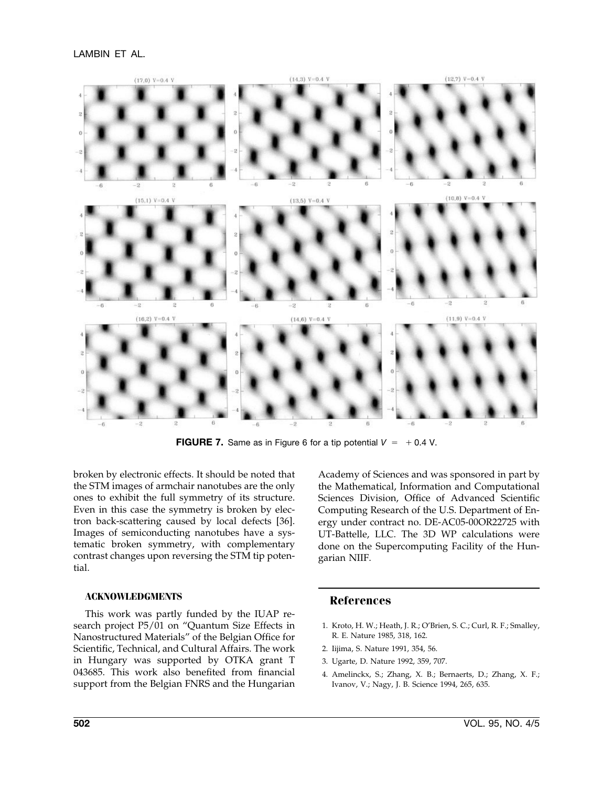

**FIGURE 7.** Same as in Figure 6 for a tip potential  $V = +0.4$  V.

broken by electronic effects. It should be noted that the STM images of armchair nanotubes are the only ones to exhibit the full symmetry of its structure. Even in this case the symmetry is broken by electron back-scattering caused by local defects [36]. Images of semiconducting nanotubes have a systematic broken symmetry, with complementary contrast changes upon reversing the STM tip potential.

## **ACKNOWLEDGMENTS**

This work was partly funded by the IUAP research project  $P5/01$  on "Quantum Size Effects in Nanostructured Materials" of the Belgian Office for Scientific, Technical, and Cultural Affairs. The work in Hungary was supported by OTKA grant T 043685. This work also benefited from financial support from the Belgian FNRS and the Hungarian Academy of Sciences and was sponsored in part by the Mathematical, Information and Computational Sciences Division, Office of Advanced Scientific Computing Research of the U.S. Department of Energy under contract no. DE-AC05-00OR22725 with UT-Battelle, LLC. The 3D WP calculations were done on the Supercomputing Facility of the Hungarian NIIF.

## **References**

- 1. Kroto, H. W.; Heath, J. R.; O'Brien, S. C.; Curl, R. F.; Smalley, R. E. Nature 1985, 318, 162.
- 2. Iijima, S. Nature 1991, 354, 56.
- 3. Ugarte, D. Nature 1992, 359, 707.
- 4. Amelinckx, S.; Zhang, X. B.; Bernaerts, D.; Zhang, X. F.; Ivanov, V.; Nagy, J. B. Science 1994, 265, 635.